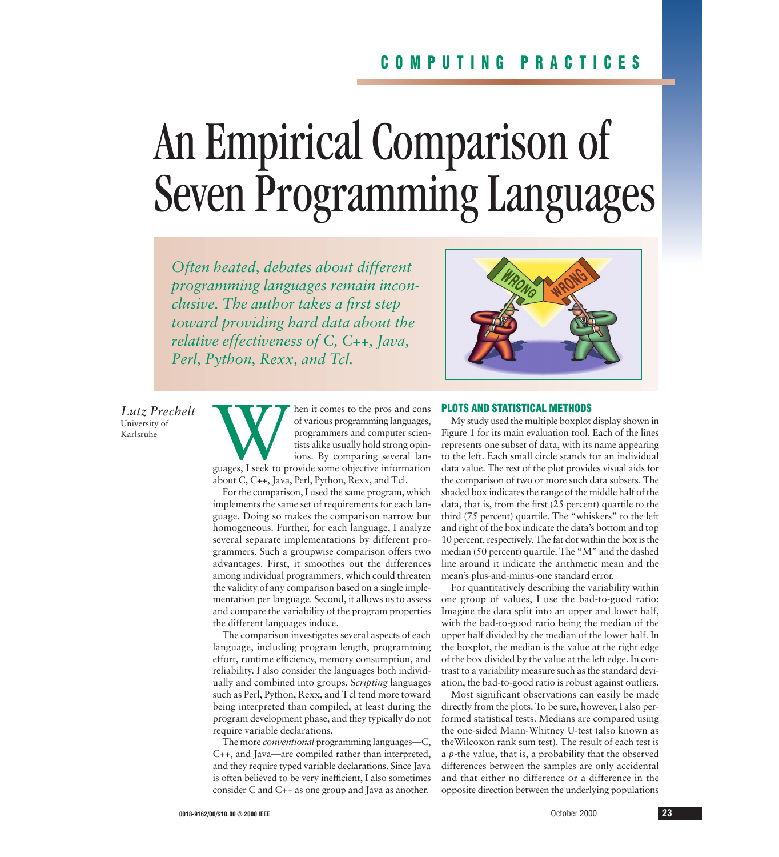# An Empirical Comparison of Seven Programming Languages

*Often heated, debates about different programming languages remain inconclusive. The author takes a first step toward providing hard data about the relative effectiveness of C, C++, Java, Perl, Python, Rexx, and Tcl.*



*Lutz Prechelt* University of Karlsruhe

Musical is the prose and consumptions of various programming languages, programmers and computer scien-<br>tists alike usually hold strong opin-<br>guages, I seek to provide some objective information of various programming languages, programmers and computer scientists alike usually hold strong opinions. By comparing several lanabout C, C++, Java, Perl, Python, Rexx, and Tcl.

For the comparison, I used the same program, which implements the same set of requirements for each language. Doing so makes the comparison narrow but homogeneous. Further, for each language, I analyze several separate implementations by different programmers. Such a groupwise comparison offers two advantages. First, it smoothes out the differences among individual programmers, which could threaten the validity of any comparison based on a single implementation per language. Second, it allows us to assess and compare the variability of the program properties the different languages induce.

The comparison investigates several aspects of each language, including program length, programming effort, runtime efficiency, memory consumption, and reliability. I also consider the languages both individually and combined into groups. S*cripting* languages such as Perl, Python, Rexx, and Tcl tend more toward being interpreted than compiled, at least during the program development phase, and they typically do not require variable declarations.

The more *conventional* programming languages—C, C++, and Java—are compiled rather than interpreted, and they require typed variable declarations. Since Java is often believed to be very inefficient, I also sometimes consider C and C++ as one group and Java as another.

## **PLOTS AND STATISTICAL METHODS**

My study used the multiple boxplot display shown in Figure 1 for its main evaluation tool. Each of the lines represents one subset of data, with its name appearing to the left. Each small circle stands for an individual data value. The rest of the plot provides visual aids for the comparison of two or more such data subsets. The shaded box indicates the range of the middle half of the data, that is, from the first (25 percent) quartile to the third (75 percent) quartile. The "whiskers" to the left and right of the box indicate the data's bottom and top 10 percent, respectively. The fat dot within the box is the median (50 percent) quartile. The "M" and the dashed line around it indicate the arithmetic mean and the mean's plus-and-minus-one standard error.

For quantitatively describing the variability within one group of values, I use the bad-to-good ratio: Imagine the data split into an upper and lower half, with the bad-to-good ratio being the median of the upper half divided by the median of the lower half. In the boxplot, the median is the value at the right edge of the box divided by the value at the left edge. In contrast to a variability measure such as the standard deviation, the bad-to-good ratio is robust against outliers.

Most significant observations can easily be made directly from the plots. To be sure, however, I also performed statistical tests. Medians are compared using the one-sided Mann-Whitney U-test (also known as theWilcoxon rank sum test). The result of each test is a *p*-the value, that is, a probability that the observed differences between the samples are only accidental and that either no difference or a difference in the opposite direction between the underlying populations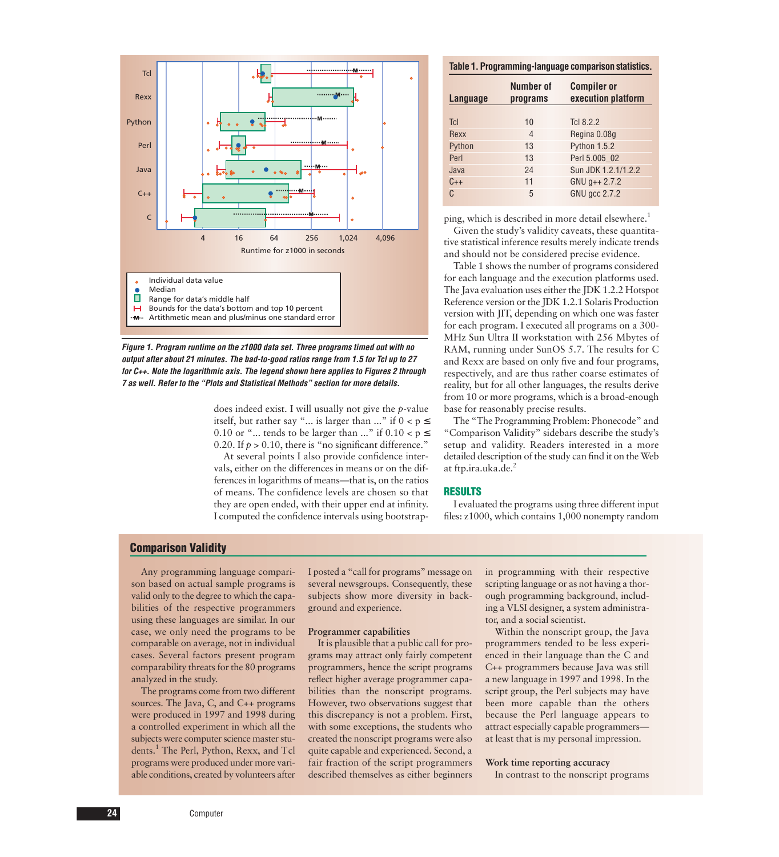

*Figure 1. Program runtime on the z1000 data set. Three programs timed out with no output after about 21 minutes. The bad-to-good ratios range from 1.5 for Tcl up to 27 for C++. Note the logarithmic axis. The legend shown here applies to Figures 2 through 7 as well. Refer to the "Plots and Statistical Methods" section for more details.*

does indeed exist. I will usually not give the *p*-value itself, but rather say "... is larger than ..." if  $0 < p \le$ 0.10 or "... tends to be larger than ..." if  $0.10 < p \le$ 0.20. If  $p > 0.10$ , there is "no significant difference."

At several points I also provide confidence intervals, either on the differences in means or on the differences in logarithms of means—that is, on the ratios of means. The confidence levels are chosen so that they are open ended, with their upper end at infinity. I computed the confidence intervals using bootstrap-

#### **Table 1. Programming-language comparison statistics.**

| Language | Number of<br>programs | <b>Compiler or</b><br>execution platform |  |  |  |
|----------|-----------------------|------------------------------------------|--|--|--|
| Tcl      | 10                    | Tcl 8.2.2                                |  |  |  |
| Rexx     | $\overline{4}$        | Regina 0.08g                             |  |  |  |
| Python   | 13                    | Python 1.5.2                             |  |  |  |
| Perl     | 13                    | Perl 5.005 02                            |  |  |  |
| Java     | 24                    | Sun JDK 1.2.1/1.2.2                      |  |  |  |
| $C++$    | 11                    | GNU q++ 2.7.2                            |  |  |  |
| C        | 5                     | <b>GNU gcc 2.7.2</b>                     |  |  |  |

ping, which is described in more detail elsewhere.<sup>1</sup>

Given the study's validity caveats, these quantitative statistical inference results merely indicate trends and should not be considered precise evidence.

Table 1 shows the number of programs considered for each language and the execution platforms used. The Java evaluation uses either the JDK 1.2.2 Hotspot Reference version or the JDK 1.2.1 Solaris Production version with JIT, depending on which one was faster for each program. I executed all programs on a 300- MHz Sun Ultra II workstation with 256 Mbytes of RAM, running under SunOS 5.7. The results for C and Rexx are based on only five and four programs, respectively, and are thus rather coarse estimates of reality, but for all other languages, the results derive from 10 or more programs, which is a broad-enough base for reasonably precise results.

The "The Programming Problem: Phonecode" and "Comparison Validity" sidebars describe the study's setup and validity. Readers interested in a more detailed description of the study can find it on the Web at ftp.ira.uka.de. $<sup>2</sup>$ </sup>

#### **RESULTS**

I evaluated the programs using three different input files: z1000, which contains 1,000 nonempty random

# **Comparison Validity**

Any programming language comparison based on actual sample programs is valid only to the degree to which the capabilities of the respective programmers using these languages are similar. In our case, we only need the programs to be comparable on average, not in individual cases. Several factors present program comparability threats for the 80 programs analyzed in the study.

The programs come from two different sources. The Java, C, and C++ programs were produced in 1997 and 1998 during a controlled experiment in which all the subjects were computer science master students.<sup>1</sup> The Perl, Python, Rexx, and Tcl programs were produced under more variable conditions, created by volunteers after

I posted a "call for programs" message on several newsgroups. Consequently, these subjects show more diversity in background and experience.

#### **Programmer capabilities**

It is plausible that a public call for programs may attract only fairly competent programmers, hence the script programs reflect higher average programmer capabilities than the nonscript programs. However, two observations suggest that this discrepancy is not a problem. First, with some exceptions, the students who created the nonscript programs were also quite capable and experienced. Second, a fair fraction of the script programmers described themselves as either beginners

in programming with their respective scripting language or as not having a thorough programming background, including a VLSI designer, a system administrator, and a social scientist.

Within the nonscript group, the Java programmers tended to be less experienced in their language than the C and C++ programmers because Java was still a new language in 1997 and 1998. In the script group, the Perl subjects may have been more capable than the others because the Perl language appears to attract especially capable programmers at least that is my personal impression.

#### **Work time reporting accuracy**

In contrast to the nonscript programs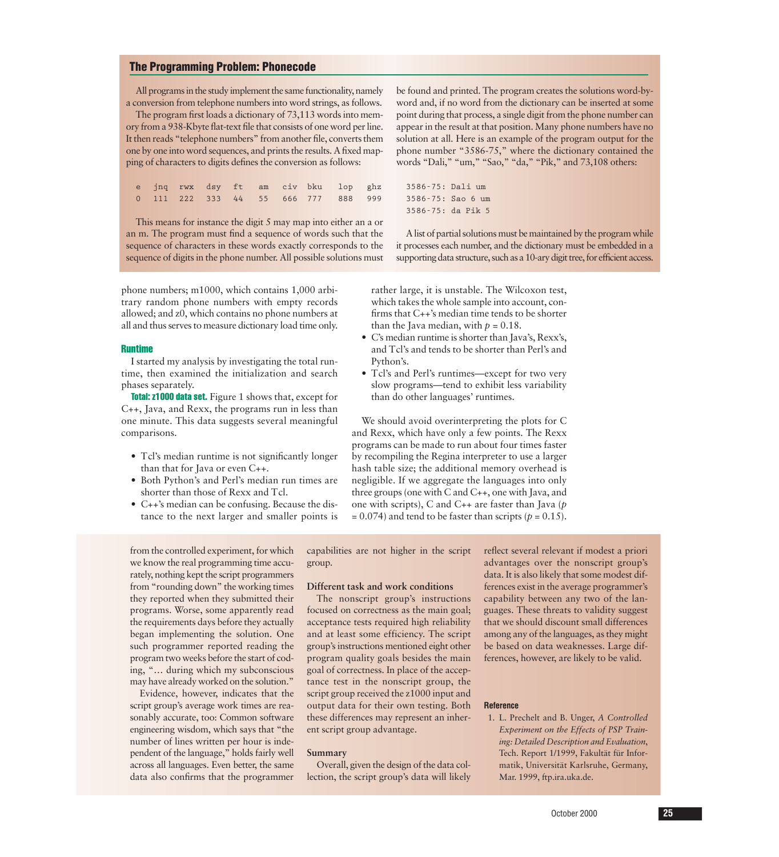# **The Programming Problem: Phonecode**

All programs in the study implement the same functionality, namely a conversion from telephone numbers into word strings, as follows.

The program first loads a dictionary of 73,113 words into memory from a 938-Kbyte flat-text file that consists of one word per line. It then reads "telephone numbers" from another file, converts them one by one into word sequences, and prints the results. A fixed mapping of characters to digits defines the conversion as follows:

|  |  |  |  | e jnq rwx dsy ft am civ bku lop ghz |  |
|--|--|--|--|-------------------------------------|--|
|  |  |  |  | 0 111 222 333 44 55 666 777 888 999 |  |

This means for instance the digit 5 may map into either an a or an m. The program must find a sequence of words such that the sequence of characters in these words exactly corresponds to the sequence of digits in the phone number. All possible solutions must

phone numbers; m1000, which contains 1,000 arbitrary random phone numbers with empty records allowed; and z0, which contains no phone numbers at all and thus serves to measure dictionary load time only.

#### Runtime

I started my analysis by investigating the total runtime, then examined the initialization and search phases separately.

**Total: z1000 data set.** Figure 1 shows that, except for C++, Java, and Rexx, the programs run in less than one minute. This data suggests several meaningful comparisons.

- Tcl's median runtime is not significantly longer than that for Java or even C++.
- Both Python's and Perl's median run times are shorter than those of Rexx and Tcl.
- C++'s median can be confusing. Because the distance to the next larger and smaller points is

be found and printed. The program creates the solutions word-byword and, if no word from the dictionary can be inserted at some point during that process, a single digit from the phone number can appear in the result at that position. Many phone numbers have no solution at all. Here is an example of the program output for the phone number "3586-75," where the dictionary contained the words "Dali," "um," "Sao," "da," "Pik," and 73,108 others:

**3586-75: Dali um 3586-75: Sao 6 um 3586-75: da Pik 5**

A list of partial solutions must be maintained by the program while it processes each number, and the dictionary must be embedded in a supporting data structure, such as a 10-ary digit tree, for efficient access.

rather large, it is unstable. The Wilcoxon test, which takes the whole sample into account, confirms that C++'s median time tends to be shorter than the Java median, with  $p = 0.18$ .

- C's median runtime is shorter than Java's, Rexx's, and Tcl's and tends to be shorter than Perl's and Python's.
- Tcl's and Perl's runtimes—except for two very slow programs—tend to exhibit less variability than do other languages' runtimes.

We should avoid overinterpreting the plots for C and Rexx, which have only a few points. The Rexx programs can be made to run about four times faster by recompiling the Regina interpreter to use a larger hash table size; the additional memory overhead is negligible. If we aggregate the languages into only three groups (one with C and C++, one with Java, and one with scripts), C and C++ are faster than Java (*p*  $= 0.074$ ) and tend to be faster than scripts ( $p = 0.15$ ).

from the controlled experiment, for which we know the real programming time accurately, nothing kept the script programmers from "rounding down" the working times they reported when they submitted their programs. Worse, some apparently read the requirements days before they actually began implementing the solution. One such programmer reported reading the program two weeks before the start of coding, "… during which my subconscious may have already worked on the solution."

Evidence, however, indicates that the script group's average work times are reasonably accurate, too: Common software engineering wisdom, which says that "the number of lines written per hour is independent of the language," holds fairly well across all languages. Even better, the same data also confirms that the programmer capabilities are not higher in the script group.

## **Different task and work conditions**

The nonscript group's instructions focused on correctness as the main goal; acceptance tests required high reliability and at least some efficiency. The script group's instructions mentioned eight other program quality goals besides the main goal of correctness. In place of the acceptance test in the nonscript group, the script group received the z1000 input and output data for their own testing. Both these differences may represent an inherent script group advantage.

#### **Summary**

Overall, given the design of the data collection, the script group's data will likely reflect several relevant if modest a priori advantages over the nonscript group's data. It is also likely that some modest differences exist in the average programmer's capability between any two of the languages. These threats to validity suggest that we should discount small differences among any of the languages, as they might be based on data weaknesses. Large differences, however, are likely to be valid.

#### **Reference**

1. L. Prechelt and B. Unger, *A Controlled Experiment on the Effects of PSP Training: Detailed Description and Evaluation*, Tech. Report 1/1999, Fakultät für Informatik, Universität Karlsruhe, Germany, Mar. 1999, ftp.ira.uka.de.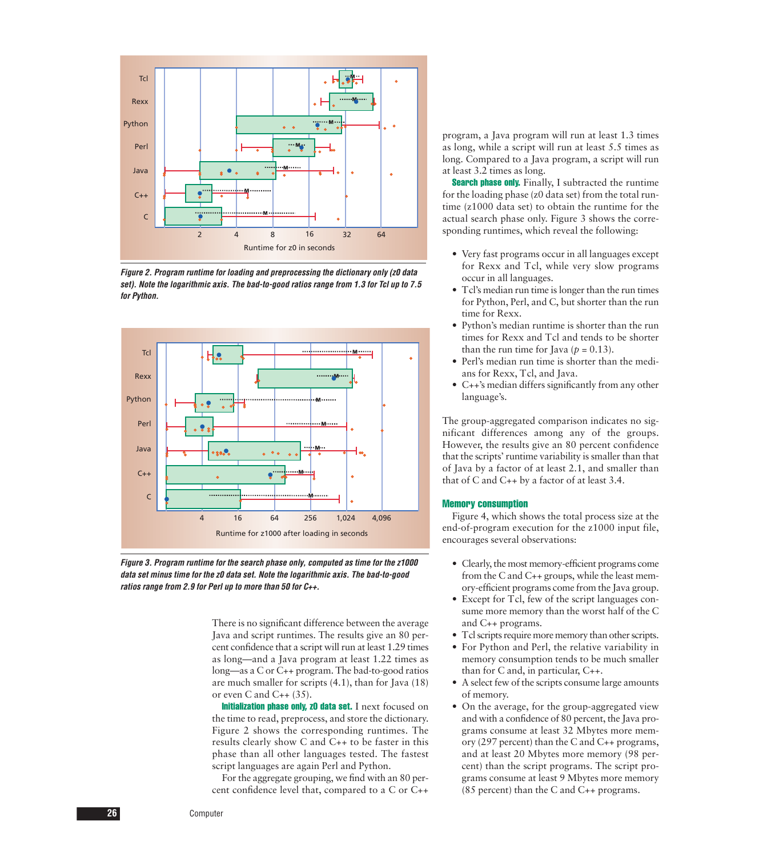

*Figure 2. Program runtime for loading and preprocessing the dictionary only (z0 data set). Note the logarithmic axis. The bad-to-good ratios range from 1.3 for Tcl up to 7.5 for Python.*



*Figure 3. Program runtime for the search phase only, computed as time for the z1000 data set minus time for the z0 data set. Note the logarithmic axis. The bad-to-good ratios range from 2.9 for Perl up to more than 50 for C++.* 

There is no significant difference between the average Java and script runtimes. The results give an 80 percent confidence that a script will run at least 1.29 times as long—and a Java program at least 1.22 times as long—as a C or C++ program. The bad-to-good ratios are much smaller for scripts (4.1), than for Java (18) or even C and  $C_{++}$  (35).

Initialization phase only, z0 data set. I next focused on the time to read, preprocess, and store the dictionary. Figure 2 shows the corresponding runtimes. The results clearly show C and C++ to be faster in this phase than all other languages tested. The fastest script languages are again Perl and Python.

For the aggregate grouping, we find with an 80 percent confidence level that, compared to a C or C++

program, a Java program will run at least 1.3 times as long, while a script will run at least 5.5 times as long. Compared to a Java program, a script will run at least 3.2 times as long.

**Search phase only.** Finally, I subtracted the runtime for the loading phase (z0 data set) from the total runtime (z1000 data set) to obtain the runtime for the actual search phase only. Figure 3 shows the corresponding runtimes, which reveal the following:

- Very fast programs occur in all languages except for Rexx and Tcl, while very slow programs occur in all languages.
- Tcl's median run time is longer than the run times for Python, Perl, and C, but shorter than the run time for Rexx.
- Python's median runtime is shorter than the run times for Rexx and Tcl and tends to be shorter than the run time for Java ( $p = 0.13$ ).
- Perl's median run time is shorter than the medians for Rexx, Tcl, and Java.
- C++'s median differs significantly from any other language's.

The group-aggregated comparison indicates no significant differences among any of the groups. However, the results give an 80 percent confidence that the scripts' runtime variability is smaller than that of Java by a factor of at least 2.1, and smaller than that of C and C++ by a factor of at least 3.4.

#### Memory consumption

Figure 4, which shows the total process size at the end-of-program execution for the z1000 input file, encourages several observations:

- Clearly, the most memory-efficient programs come from the C and C++ groups, while the least memory-efficient programs come from the Java group.
- Except for Tcl, few of the script languages consume more memory than the worst half of the C and C++ programs.
- Tcl scripts require more memory than other scripts.
- For Python and Perl, the relative variability in memory consumption tends to be much smaller than for C and, in particular, C++.
- A select few of the scripts consume large amounts of memory.
- On the average, for the group-aggregated view and with a confidence of 80 percent, the Java programs consume at least 32 Mbytes more memory (297 percent) than the C and C++ programs, and at least 20 Mbytes more memory (98 percent) than the script programs. The script programs consume at least 9 Mbytes more memory (85 percent) than the C and C++ programs.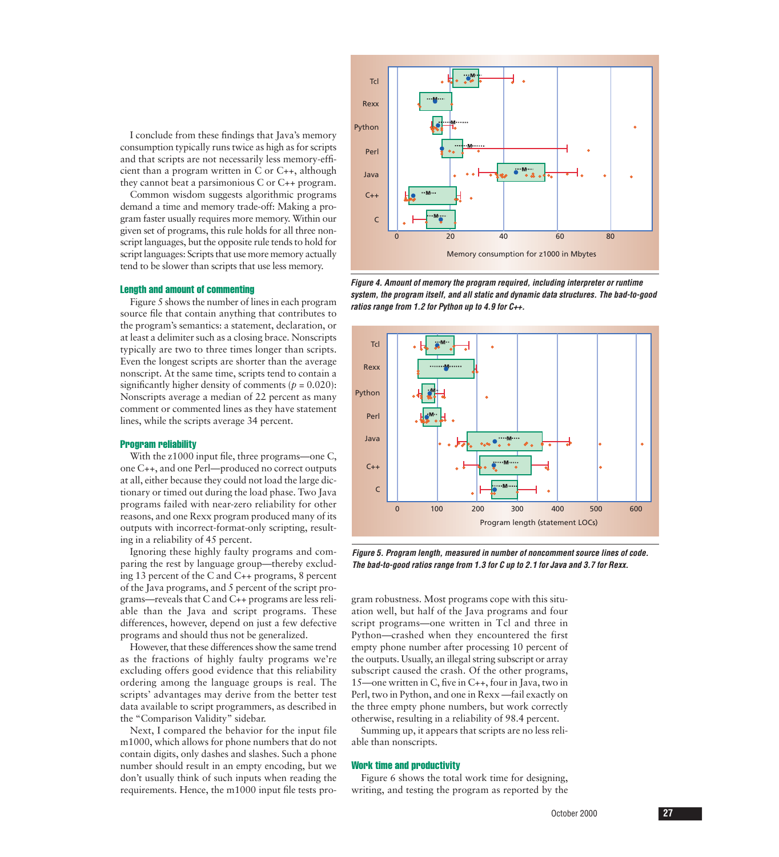I conclude from these findings that Java's memory consumption typically runs twice as high as for scripts and that scripts are not necessarily less memory-efficient than a program written in C or C++, although they cannot beat a parsimonious C or C++ program.

Common wisdom suggests algorithmic programs demand a time and memory trade-off: Making a program faster usually requires more memory. Within our given set of programs, this rule holds for all three nonscript languages, but the opposite rule tends to hold for script languages: Scripts that use more memory actually tend to be slower than scripts that use less memory.

#### Length and amount of commenting

Figure 5 shows the number of lines in each program source file that contain anything that contributes to the program's semantics: a statement, declaration, or at least a delimiter such as a closing brace. Nonscripts typically are two to three times longer than scripts. Even the longest scripts are shorter than the average nonscript. At the same time, scripts tend to contain a significantly higher density of comments ( $p = 0.020$ ): Nonscripts average a median of 22 percent as many comment or commented lines as they have statement lines, while the scripts average 34 percent.

### Program reliability

With the z1000 input file, three programs—one C, one C++, and one Perl—produced no correct outputs at all, either because they could not load the large dictionary or timed out during the load phase. Two Java programs failed with near-zero reliability for other reasons, and one Rexx program produced many of its outputs with incorrect-format-only scripting, resulting in a reliability of 45 percent.

Ignoring these highly faulty programs and comparing the rest by language group—thereby excluding 13 percent of the C and C++ programs, 8 percent of the Java programs, and 5 percent of the script programs—reveals that C and C++ programs are less reliable than the Java and script programs. These differences, however, depend on just a few defective programs and should thus not be generalized.

However, that these differences show the same trend as the fractions of highly faulty programs we're excluding offers good evidence that this reliability ordering among the language groups is real. The scripts' advantages may derive from the better test data available to script programmers, as described in the "Comparison Validity" sidebar.

Next, I compared the behavior for the input file m1000, which allows for phone numbers that do not contain digits, only dashes and slashes. Such a phone number should result in an empty encoding, but we don't usually think of such inputs when reading the requirements. Hence, the m1000 input file tests pro-



*Figure 4. Amount of memory the program required, including interpreter or runtime system, the program itself, and all static and dynamic data structures. The bad-to-good ratios range from 1.2 for Python up to 4.9 for C++.* 



*Figure 5. Program length, measured in number of noncomment source lines of code. The bad-to-good ratios range from 1.3 for C up to 2.1 for Java and 3.7 for Rexx.*

gram robustness. Most programs cope with this situation well, but half of the Java programs and four script programs—one written in Tcl and three in Python—crashed when they encountered the first empty phone number after processing 10 percent of the outputs. Usually, an illegal string subscript or array subscript caused the crash. Of the other programs, 15—one written in C, five in C++, four in Java, two in Perl, two in Python, and one in Rexx —fail exactly on the three empty phone numbers, but work correctly otherwise, resulting in a reliability of 98.4 percent.

Summing up, it appears that scripts are no less reliable than nonscripts.

#### Work time and productivity

Figure 6 shows the total work time for designing, writing, and testing the program as reported by the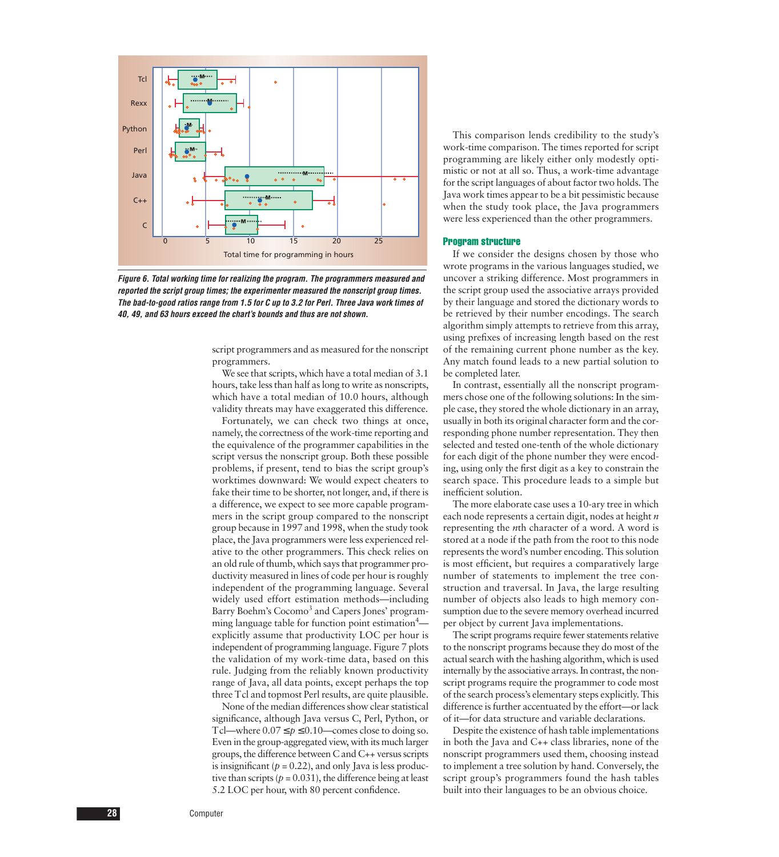

*Figure 6. Total working time for realizing the program. The programmers measured and reported the script group times; the experimenter measured the nonscript group times. The bad-to-good ratios range from 1.5 for C up to 3.2 for Perl. Three Java work times of 40, 49, and 63 hours exceed the chart's bounds and thus are not shown.*

script programmers and as measured for the nonscript programmers.

We see that scripts, which have a total median of 3.1 hours, take less than half as long to write as nonscripts, which have a total median of 10.0 hours, although validity threats may have exaggerated this difference.

Fortunately, we can check two things at once, namely, the correctness of the work-time reporting and the equivalence of the programmer capabilities in the script versus the nonscript group. Both these possible problems, if present, tend to bias the script group's worktimes downward: We would expect cheaters to fake their time to be shorter, not longer, and, if there is a difference, we expect to see more capable programmers in the script group compared to the nonscript group because in 1997 and 1998, when the study took place, the Java programmers were less experienced relative to the other programmers. This check relies on an old rule of thumb, which says that programmer productivity measured in lines of code per hour is roughly independent of the programming language. Several widely used effort estimation methods—including Barry Boehm's Cocomo<sup>3</sup> and Capers Jones' programming language table for function point estimation<sup>4</sup> explicitly assume that productivity LOC per hour is independent of programming language. Figure 7 plots the validation of my work-time data, based on this rule. Judging from the reliably known productivity range of Java, all data points, except perhaps the top three Tcl and topmost Perl results, are quite plausible.

None of the median differences show clear statistical significance, although Java versus C, Perl, Python, or Tcl—where  $0.07 \le p \le 0.10$ —comes close to doing so. Even in the group-aggregated view, with its much larger groups, the difference between C and C++ versus scripts is insignificant  $(p = 0.22)$ , and only Java is less productive than scripts ( $p = 0.031$ ), the difference being at least 5.2 LOC per hour, with 80 percent confidence.

This comparison lends credibility to the study's work-time comparison. The times reported for script programming are likely either only modestly optimistic or not at all so. Thus, a work-time advantage for the script languages of about factor two holds. The Java work times appear to be a bit pessimistic because when the study took place, the Java programmers were less experienced than the other programmers.

#### Program structure

If we consider the designs chosen by those who wrote programs in the various languages studied, we uncover a striking difference. Most programmers in the script group used the associative arrays provided by their language and stored the dictionary words to be retrieved by their number encodings. The search algorithm simply attempts to retrieve from this array, using prefixes of increasing length based on the rest of the remaining current phone number as the key. Any match found leads to a new partial solution to be completed later.

In contrast, essentially all the nonscript programmers chose one of the following solutions: In the simple case, they stored the whole dictionary in an array, usually in both its original character form and the corresponding phone number representation. They then selected and tested one-tenth of the whole dictionary for each digit of the phone number they were encoding, using only the first digit as a key to constrain the search space. This procedure leads to a simple but inefficient solution.

The more elaborate case uses a 10-ary tree in which each node represents a certain digit, nodes at height *n* representing the *n*th character of a word. A word is stored at a node if the path from the root to this node represents the word's number encoding. This solution is most efficient, but requires a comparatively large number of statements to implement the tree construction and traversal. In Java, the large resulting number of objects also leads to high memory consumption due to the severe memory overhead incurred per object by current Java implementations.

The script programs require fewer statements relative to the nonscript programs because they do most of the actual search with the hashing algorithm, which is used internally by the associative arrays. In contrast, the nonscript programs require the programmer to code most of the search process's elementary steps explicitly. This difference is further accentuated by the effort—or lack of it—for data structure and variable declarations.

Despite the existence of hash table implementations in both the Java and C++ class libraries, none of the nonscript programmers used them, choosing instead to implement a tree solution by hand. Conversely, the script group's programmers found the hash tables built into their languages to be an obvious choice.